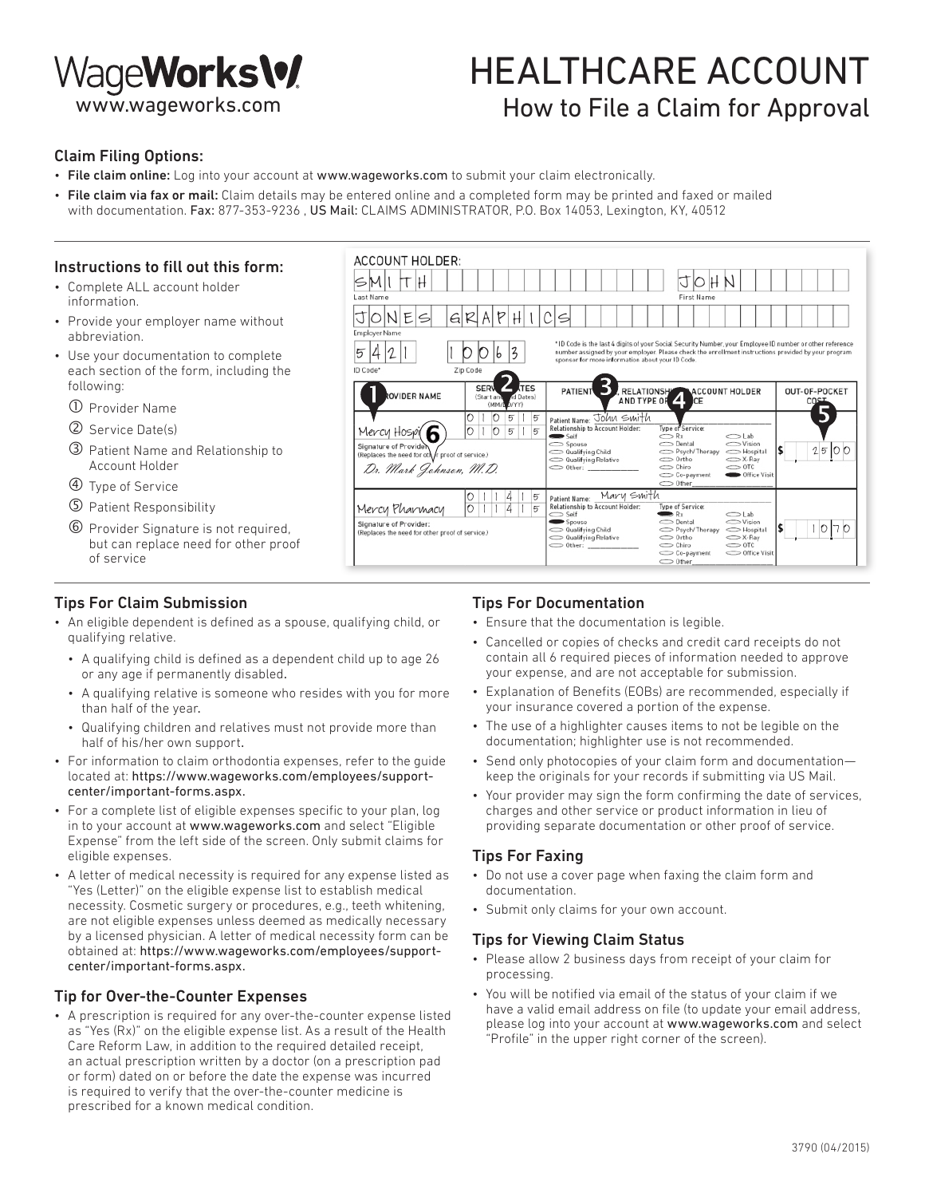

## HEALTHCARE ACCOUNT How to File a Claim for Approval

#### Claim Filing Options:

- File claim online: Log into your account at www.wageworks.com to submit your claim electronically.
- File claim via fax or mail: Claim details may be entered online and a completed form may be printed and faxed or mailed with documentation. Fax: 877-353-9236, US Mail: CLAIMS ADMINISTRATOR, P.O. Box 14053, Lexington, KY, 40512

#### Instructions to fill out this form:

- Complete ALL account holder information.
- Provide your employer name without abbreviation.
- Use your documentation to complete each section of the form, including the following:
	- Provider Name
	- Service Date(s)
	- Patient Name and Relationship to Account Holder
	- Type of Service
	- Patient Responsibility
	- Provider Signature is not required, but can replace need for other proof of service

#### Tips For Claim Submission

- An eligible dependent is defined as a spouse, qualifying child, or qualifying relative.
	- A qualifying child is defined as a dependent child up to age 26 or any age if permanently disabled.
	- A qualifying relative is someone who resides with you for more than half of the year.
	- Qualifying children and relatives must not provide more than half of his/her own support.
- For information to claim orthodontia expenses, refer to the guide located at: https://www.wageworks.com/employees/supportcenter/important-forms.aspx.
- For a complete list of eligible expenses specific to your plan, log in to your account at www.wageworks.com and select "Eligible Expense" from the left side of the screen. Only submit claims for eligible expenses.
- A letter of medical necessity is required for any expense listed as "Yes (Letter)" on the eligible expense list to establish medical necessity. Cosmetic surgery or procedures, e.g., teeth whitening, are not eligible expenses unless deemed as medically necessary by a licensed physician. A letter of medical necessity form can be obtained at: https://www.wageworks.com/employees/supportcenter/important-forms.aspx.

#### Tip for Over-the-Counter Expenses

• A prescription is required for any over-the-counter expense listed as "Yes (Rx)" on the eligible expense list. As a result of the Health Care Reform Law, in addition to the required detailed receipt, an actual prescription written by a doctor (on a prescription pad or form) dated on or before the date the expense was incurred is required to verify that the over-the-counter medicine is prescribed for a known medical condition.



#### Tips For Documentation

- Ensure that the documentation is legible.
- Cancelled or copies of checks and credit card receipts do not contain all 6 required pieces of information needed to approve your expense, and are not acceptable for submission.
- Explanation of Benefits (EOBs) are recommended, especially if your insurance covered a portion of the expense.
- The use of a highlighter causes items to not be legible on the documentation; highlighter use is not recommended.
- Send only photocopies of your claim form and documentation keep the originals for your records if submitting via US Mail.
- Your provider may sign the form confirming the date of services, charges and other service or product information in lieu of providing separate documentation or other proof of service.

#### Tips For Faxing

- Do not use a cover page when faxing the claim form and documentation.
- Submit only claims for your own account.

#### Tips for Viewing Claim Status

- Please allow 2 business days from receipt of your claim for processing.
- You will be notified via email of the status of your claim if we have a valid email address on file (to update your email address, please log into your account at www.wageworks.com and select "Profile" in the upper right corner of the screen).